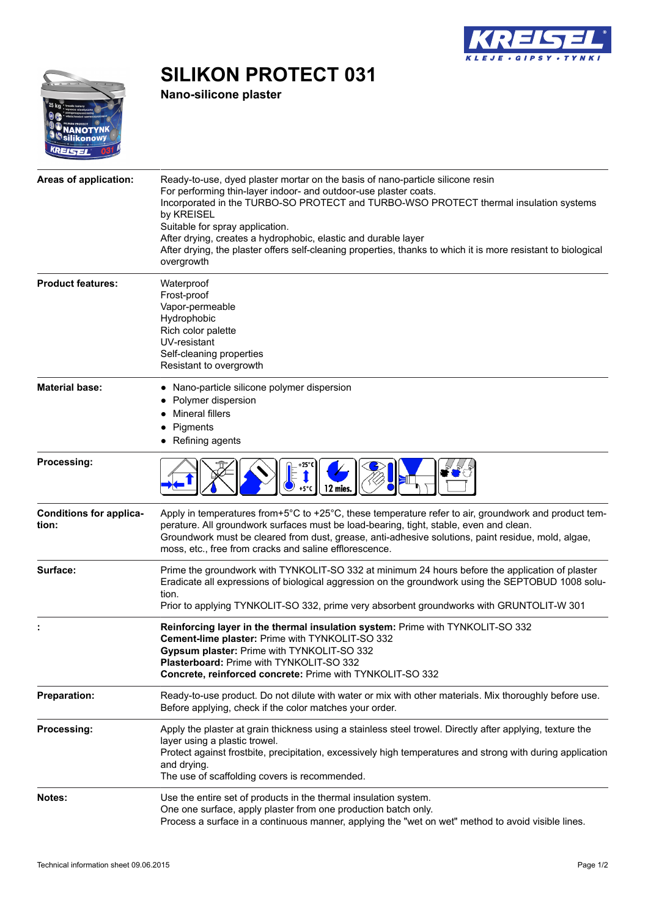

## $25k$ **IANOTYNK**<br>ilikonowy KREISEL

**Nano-silicone plaster**

**SILIKON PROTECT 031**

| Areas of application:                   | Ready-to-use, dyed plaster mortar on the basis of nano-particle silicone resin<br>For performing thin-layer indoor- and outdoor-use plaster coats.<br>Incorporated in the TURBO-SO PROTECT and TURBO-WSO PROTECT thermal insulation systems<br>by KREISEL<br>Suitable for spray application.<br>After drying, creates a hydrophobic, elastic and durable layer<br>After drying, the plaster offers self-cleaning properties, thanks to which it is more resistant to biological<br>overgrowth |
|-----------------------------------------|-----------------------------------------------------------------------------------------------------------------------------------------------------------------------------------------------------------------------------------------------------------------------------------------------------------------------------------------------------------------------------------------------------------------------------------------------------------------------------------------------|
| <b>Product features:</b>                | Waterproof<br>Frost-proof<br>Vapor-permeable<br>Hydrophobic<br>Rich color palette<br>UV-resistant<br>Self-cleaning properties<br>Resistant to overgrowth                                                                                                                                                                                                                                                                                                                                      |
| <b>Material base:</b>                   | • Nano-particle silicone polymer dispersion<br>Polymer dispersion<br>Mineral fillers<br>Pigments<br>Refining agents                                                                                                                                                                                                                                                                                                                                                                           |
| Processing:                             | 12 mies                                                                                                                                                                                                                                                                                                                                                                                                                                                                                       |
| <b>Conditions for applica-</b><br>tion: | Apply in temperatures from+5°C to +25°C, these temperature refer to air, groundwork and product tem-<br>perature. All groundwork surfaces must be load-bearing, tight, stable, even and clean.<br>Groundwork must be cleared from dust, grease, anti-adhesive solutions, paint residue, mold, algae,<br>moss, etc., free from cracks and saline efflorescence.                                                                                                                                |
| Surface:                                | Prime the groundwork with TYNKOLIT-SO 332 at minimum 24 hours before the application of plaster<br>Eradicate all expressions of biological aggression on the groundwork using the SEPTOBUD 1008 solu-<br>tion.<br>Prior to applying TYNKOLIT-SO 332, prime very absorbent groundworks with GRUNTOLIT-W 301                                                                                                                                                                                    |
|                                         | Reinforcing layer in the thermal insulation system: Prime with TYNKOLIT-SO 332<br>Cement-lime plaster: Prime with TYNKOLIT-SO 332<br>Gypsum plaster: Prime with TYNKOLIT-SO 332<br><b>Plasterboard: Prime with TYNKOLIT-SO 332</b><br>Concrete, reinforced concrete: Prime with TYNKOLIT-SO 332                                                                                                                                                                                               |
| <b>Preparation:</b>                     | Ready-to-use product. Do not dilute with water or mix with other materials. Mix thoroughly before use.<br>Before applying, check if the color matches your order.                                                                                                                                                                                                                                                                                                                             |
| Processing:                             | Apply the plaster at grain thickness using a stainless steel trowel. Directly after applying, texture the<br>layer using a plastic trowel.<br>Protect against frostbite, precipitation, excessively high temperatures and strong with during application<br>and drying.<br>The use of scaffolding covers is recommended.                                                                                                                                                                      |
| Notes:                                  | Use the entire set of products in the thermal insulation system.<br>One one surface, apply plaster from one production batch only.<br>Process a surface in a continuous manner, applying the "wet on wet" method to avoid visible lines.                                                                                                                                                                                                                                                      |